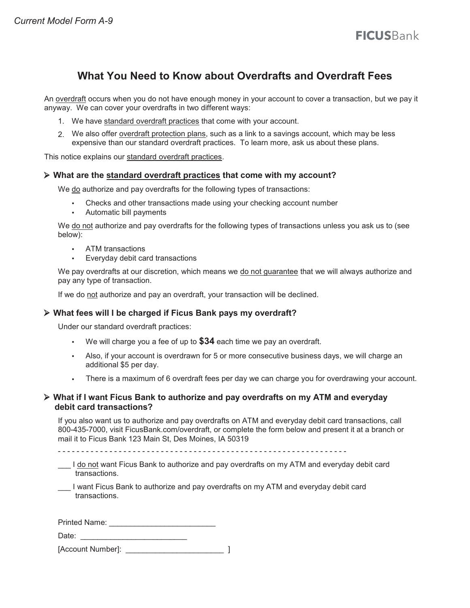# **What You Need to Know about Overdrafts and Overdraft Fees**

An overdraft occurs when you do not have enough money in your account to cover a transaction, but we pay it anyway. We can cover your overdrafts in two different ways:

- 1. We have standard overdraft practices that come with your account.
- 2. We also offer overdraft protection plans, such as a link to a savings account, which may be less expensive than our standard overdraft practices. To learn more, ask us about these plans.

This notice explains our standard overdraft practices.

### **What are the standard overdraft practices that come with my account?**

We do authorize and pay overdrafts for the following types of transactions:

- Checks and other transactions made using your checking account number
- Automatic bill payments

We do not authorize and pay overdrafts for the following types of transactions unless you ask us to (see below):

- ATM transactions
- Everyday debit card transactions

We pay overdrafts at our discretion, which means we do not guarantee that we will always authorize and pay any type of transaction.

If we do not authorize and pay an overdraft, your transaction will be declined.

### **What fees will I be charged if Ficus Bank pays my overdraft?**

Under our standard overdraft practices:

- We will charge you a fee of up to **\$34** each time we pay an overdraft.
- Also, if your account is overdrawn for 5 or more consecutive business days, we will charge an additional \$5 per day.
- There is a maximum of 6 overdraft fees per day we can charge you for overdrawing your account.

### **What if I want Ficus Bank to authorize and pay overdrafts on my ATM and everyday debit card transactions?**

If you also want us to authorize and pay overdrafts on ATM and everyday debit card transactions, call 800-435-7000, visit FicusBank.com/overdraft, or complete the form below and present it at a branch or mail it to Ficus Bank 123 Main St, Des Moines, IA 50319

- Loon of want Ficus Bank to authorize and pay overdrafts on my ATM and everyday debit card transactions.
- I want Ficus Bank to authorize and pay overdrafts on my ATM and everyday debit card transactions.

| Printed Name: |  |
|---------------|--|
|               |  |

Date: \_\_\_\_\_\_\_\_\_\_\_\_\_\_\_\_\_\_\_\_\_\_\_\_\_

| [Account Number]: |  |  |
|-------------------|--|--|
|-------------------|--|--|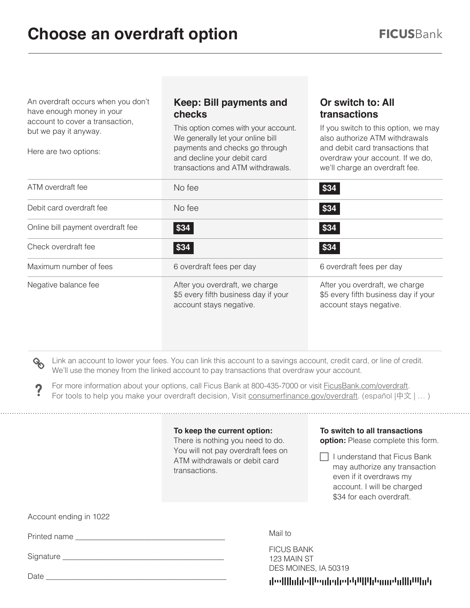An overdraft occurs when you don't have enough money in your account to cover a transaction, but we pay it anyway.

Here are two options:

# **Keep: Bill payments and checks**

This option comes with your account. We generally let your online bill payments and checks go through and decline your debit card transactions and ATM withdrawals.

## **Or switch to: All transactions**

If you switch to this option, we may also authorize ATM withdrawals and debit card transactions that overdraw your account. If we do, we'll charge an overdraft fee.

| ATM overdraft fee                 | No fee                                                                                            | \$34                                                                                              |
|-----------------------------------|---------------------------------------------------------------------------------------------------|---------------------------------------------------------------------------------------------------|
| Debit card overdraft fee          | No fee                                                                                            | \$34                                                                                              |
| Online bill payment overdraft fee | \$34                                                                                              | \$34                                                                                              |
| Check overdraft fee               | \$34                                                                                              | \$34                                                                                              |
| Maximum number of fees            | 6 overdraft fees per day                                                                          | 6 overdraft fees per day                                                                          |
| Negative balance fee              | After you overdraft, we charge<br>\$5 every fifth business day if your<br>account stays negative. | After you overdraft, we charge<br>\$5 every fifth business day if your<br>account stays negative. |

OO

Link an account to lower your fees. You can link this account to a savings account, credit card, or line of credit. We'll use the money from the linked account to pay transactions that overdraw your account.

 $?$ For more information about your options, call Ficus Bank at 800-435-7000 or visit FicusBank.com/overdraft. For tools to help you make your overdraft decision, Visit consumerfinance.gov/overdraft. (español |中文 | … )

## **To keep the current option:**

There is nothing you need to do. You will not pay overdraft fees on ATM withdrawals or debit card transactions.

# **To switch to all transactions**

**option:** Please complete this form.

 $\Box$  I understand that Ficus Bank may authorize any transaction even if it overdraws my account. I will be charged \$34 for each overdraft.

Account ending in 1022

Printed name \_\_\_\_\_\_\_\_\_\_\_\_\_\_\_\_\_\_\_\_\_\_\_\_\_\_\_\_\_\_\_\_\_\_\_\_\_\_\_

Signature \_\_\_\_\_\_\_\_\_\_\_\_\_\_\_\_\_\_\_\_\_\_\_\_\_\_\_\_\_\_\_\_\_\_\_\_\_\_\_\_\_\_

Date

Mail to

FICUS BANK 123 MAIN ST DES MOINES, IA 50319

deelllinhleffenhedretstiffftenmstallh<sup>ug</sup>ntr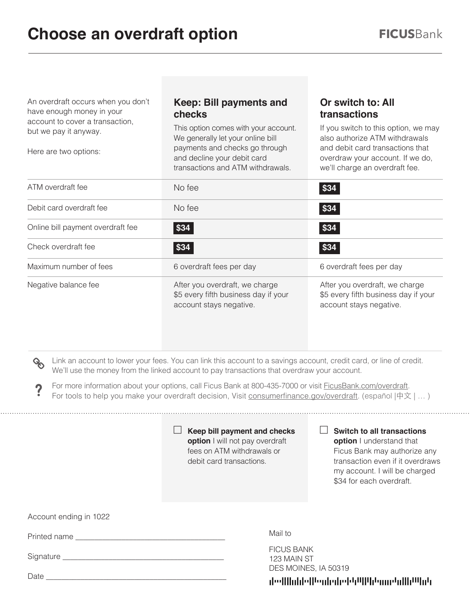An overdraft occurs when you don't have enough money in your account to cover a transaction, but we pay it anyway.

Here are two options:

# **Keep: Bill payments and checks**

This option comes with your account. We generally let your online bill payments and checks go through and decline your debit card transactions and ATM withdrawals.

## **Or switch to: All transactions**

If you switch to this option, we may also authorize ATM withdrawals and debit card transactions that overdraw your account. If we do, we'll charge an overdraft fee.

| ATM overdraft fee                 | No fee                                                                                                                                                                                                 | \$34                     |
|-----------------------------------|--------------------------------------------------------------------------------------------------------------------------------------------------------------------------------------------------------|--------------------------|
| Debit card overdraft fee          | No fee                                                                                                                                                                                                 | \$34                     |
| Online bill payment overdraft fee | \$34                                                                                                                                                                                                   | \$34                     |
| Check overdraft fee               | \$34                                                                                                                                                                                                   | \$34                     |
| Maximum number of fees            | 6 overdraft fees per day                                                                                                                                                                               | 6 overdraft fees per day |
| Negative balance fee              | After you overdraft, we charge<br>After you overdraft, we charge<br>\$5 every fifth business day if your<br>\$5 every fifth business day if your<br>account stays negative.<br>account stays negative. |                          |

OO

Link an account to lower your fees. You can link this account to a savings account, credit card, or line of credit. We'll use the money from the linked account to pay transactions that overdraw your account.

 $?$ For more information about your options, call Ficus Bank at 800-435-7000 or visit FicusBank.com/overdraft. For tools to help you make your overdraft decision, Visit consumerfinance.gov/overdraft. (español |中文 | … )

> **Keep bill payment and checks option** I will not pay overdraft fees on ATM withdrawals or debit card transactions.

> > Mail to

FICUS BANK 123 MAIN ST **Switch to all transactions** 

**option** I understand that Ficus Bank may authorize any transaction even if it overdraws my account. I will be charged \$34 for each overdraft.

Account ending in 1022

Printed name \_\_\_\_\_\_\_\_\_\_\_\_\_\_\_\_\_\_\_\_\_\_\_\_\_\_\_\_\_\_\_\_\_\_\_\_\_\_\_

Signature \_\_\_\_\_\_\_\_\_\_\_\_\_\_\_\_\_\_\_\_\_\_\_\_\_\_\_\_\_\_\_\_\_\_\_\_\_\_\_\_\_\_

Date

DES MOINES, IA 50319 والالتاراالية لمسولوا الارادا والماروبا الوارا والالويار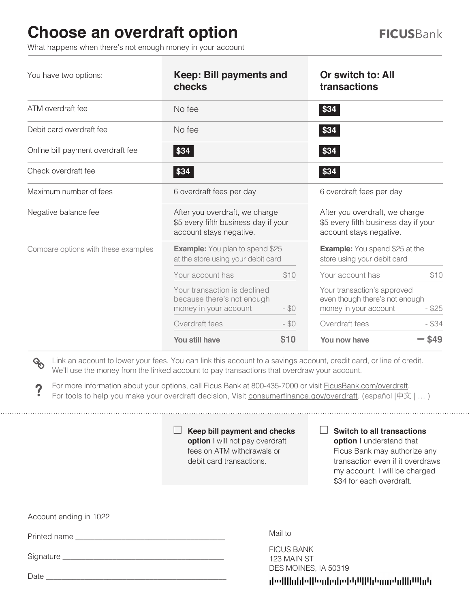# **Choose an overdraft option**

What happens when there's not enough money in your account

| You have two options:               | Keep: Bill payments and<br>checks                                                                 |        | Or switch to: All<br>transactions                                                                  |          |  |
|-------------------------------------|---------------------------------------------------------------------------------------------------|--------|----------------------------------------------------------------------------------------------------|----------|--|
| ATM overdraft fee                   | No fee                                                                                            |        | \$34                                                                                               |          |  |
| Debit card overdraft fee            | No fee                                                                                            |        | \$34                                                                                               |          |  |
| Online bill payment overdraft fee   | $\frac{1}{3}$                                                                                     |        | \$34                                                                                               |          |  |
| Check overdraft fee                 | \$34                                                                                              |        | \$34                                                                                               |          |  |
| Maximum number of fees              | 6 overdraft fees per day                                                                          |        | 6 overdraft fees per day                                                                           |          |  |
| Negative balance fee                | After you overdraft, we charge<br>\$5 every fifth business day if your<br>account stays negative. |        | After you overdraft, we charge<br>\$5 every fifth business day if your<br>account stays negative.  |          |  |
| Compare options with these examples | <b>Example:</b> You plan to spend \$25<br>at the store using your debit card                      |        | <b>Example:</b> You spend \$25 at the<br>store using your debit card                               |          |  |
|                                     | Your account has                                                                                  | \$10   | Your account has                                                                                   | \$10     |  |
|                                     | Your transaction is declined<br>because there's not enough<br>$- $0$<br>money in your account     |        | Your transaction's approved<br>even though there's not enough<br>money in your account<br>$-$ \$25 |          |  |
|                                     | Overdraft fees                                                                                    | $- $0$ | Overdraft fees                                                                                     | $-$ \$34 |  |
|                                     | You still have                                                                                    | \$10   | You now have                                                                                       | \$49     |  |

OO Link an account to lower your fees. You can link this account to a savings account, credit card, or line of credit. We'll use the money from the linked account to pay transactions that overdraw your account.

? For more information about your options, call Ficus Bank at 800-435-7000 or visit FicusBank.com/overdraft. For tools to help you make your overdraft decision, Visit consumerfinance.gov/overdraft. (español |中文 | ...)

> **Keep bill payment and checks option** I will not pay overdraft fees on ATM withdrawals or debit card transactions.

**Switch to all transactions** 

**option** I understand that Ficus Bank may authorize any transaction even if it overdraws my account. I will be charged \$34 for each overdraft.

Account ending in 1022

Printed name \_\_\_\_\_\_\_\_\_\_\_\_\_\_\_\_\_\_\_\_\_\_\_\_\_\_\_\_\_\_\_\_\_\_\_\_\_\_\_

Signature \_\_\_\_\_\_\_\_\_\_\_\_\_\_\_\_\_\_\_\_\_\_\_\_\_\_\_\_\_\_\_\_\_\_\_\_\_\_\_\_\_\_

Date

Mail to

FICUS BANK 123 MAIN ST DES MOINES, IA 50319

deellinidelleniedeeleftilijdenmenlih<sup>in</sup>ide